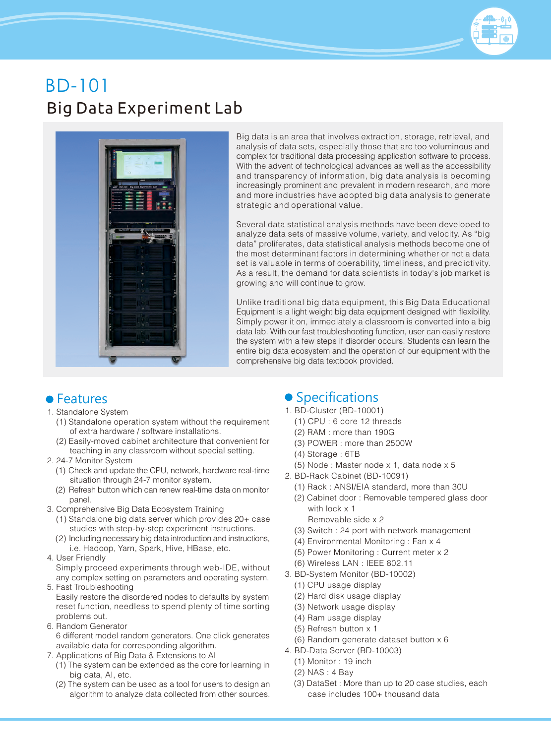# Big Data Experiment Lab BD-101



Big data is an area that involves extraction, storage, retrieval, and analysis of data sets, especially those that are too voluminous and complex for traditional data processing application software to process. With the advent of technological advances as well as the accessibility and transparency of information, big data analysis is becoming increasingly prominent and prevalent in modern research, and more and more industries have adopted big data analysis to generate strategic and operational value.

Several data statistical analysis methods have been developed to analyze data sets of massive volume, variety, and velocity. As "big data" proliferates, data statistical analysis methods become one of the most determinant factors in determining whether or not a data set is valuable in terms of operability, timeliness, and predictivity. As a result, the demand for data scientists in today's job market is growing and will continue to grow.

Unlike traditional big data equipment, this Big Data Educational Equipment is a light weight big data equipment designed with flexibility. Simply power it on, immediately a classroom is converted into a big data lab. With our fast troubleshooting function, user can easily restore the system with a few steps if disorder occurs. Students can learn the entire big data ecosystem and the operation of our equipment with the comprehensive big data textbook provided.

- 1. Standalone System
	- (1) Standalone operation system without the requirement of extra hardware / software installations.
	- (2) Easily-moved cabinet architecture that convenient for teaching in any classroom without special setting.
- 2. 24-7 Monitor System
	- (1) Check and update the CPU, network, hardware real-time situation through 24-7 monitor system.
	- (2) Refresh button which can renew real-time data on monitor panel.
- 3. Comprehensive Big Data Ecosystem Training
	- (1) Standalone big data server which provides 20+ case studies with step-by-step experiment instructions.
	- (2) Including necessary big data introduction and instructions, i.e. Hadoop, Yarn, Spark, Hive, HBase, etc.
- 4. User Friendly
- Simply proceed experiments through web-IDE, without any complex setting on parameters and operating system. 5. Fast Troubleshooting
- Easily restore the disordered nodes to defaults by system reset function, needless to spend plenty of time sorting problems out.
- 6. Random Generator 6 different model random generators. One click generates available data for corresponding algorithm.
- 7. Applications of Big Data & Extensions to AI
	- (1) The system can be extended as the core for learning in big data, AI, etc.
	- (2) The system can be used as a tool for users to design an algorithm to analyze data collected from other sources.

## • Features Specifications

- 1. BD-Cluster (BD-10001)
	- (1) CPU : 6 core 12 threads
	- (2) RAM : more than 190G
	- (3) POWER : more than 2500W
	- (4) Storage : 6TB
	- (5) Node : Master node x 1, data node x 5
- 2. BD-Rack Cabinet (BD-10091)
	- (1) Rack : ANSI/EIA standard, more than 30U
	- (2) Cabinet door : Removable tempered glass door with lock x 1
		- Removable side x 2
	- (3) Switch : 24 port with network management
	- (4) Environmental Monitoring : Fan x 4
	- (5) Power Monitoring : Current meter x 2
	- (6) Wireless LAN : IEEE 802.11
- 3. BD-System Monitor (BD-10002)
	- (1) CPU usage display
	- (2) Hard disk usage display
	- (3) Network usage display
	- (4) Ram usage display
	- (5) Refresh button x 1
	- (6) Random generate dataset button x 6
- 4. BD-Data Server (BD-10003)
	- (1) Monitor : 19 inch
	- (2) NAS : 4 Bay
	- (3) DataSet : More than up to 20 case studies, each case includes 100+ thousand data